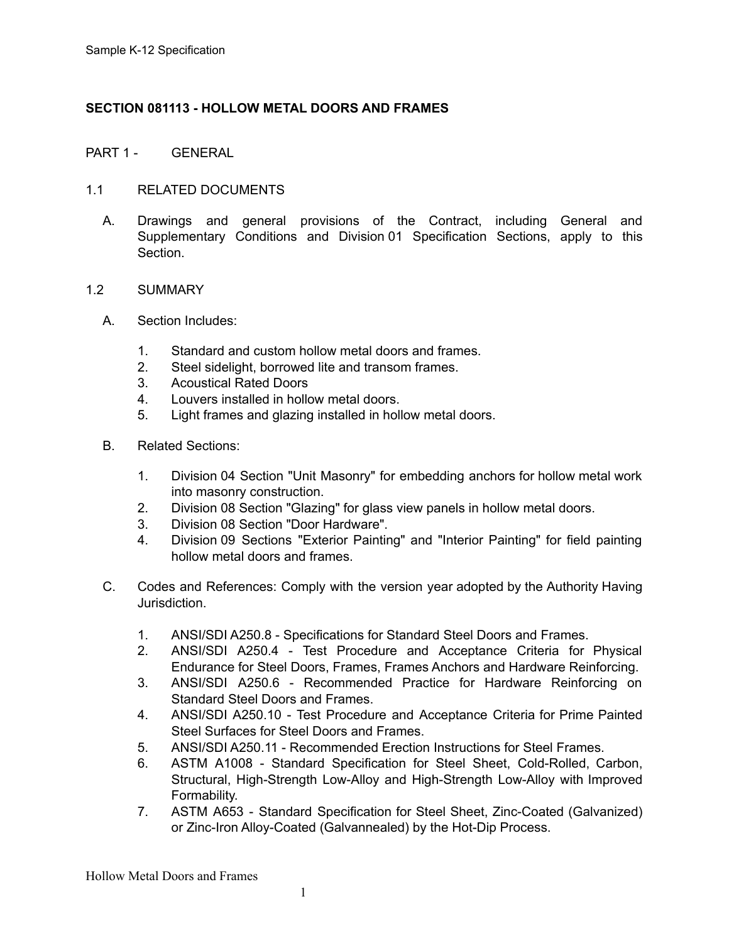# **SECTION 081113 - HOLLOW METAL DOORS AND FRAMES**

# PART 1 - GENERAL

# 1.1 RELATED DOCUMENTS

A. Drawings and general provisions of the Contract, including General and Supplementary Conditions and Division 01 Specification Sections, apply to this Section.

# 1.2 SUMMARY

- A. Section Includes:
	- 1. Standard and custom hollow metal doors and frames.
	- 2. Steel sidelight, borrowed lite and transom frames.
	- 3. Acoustical Rated Doors
	- 4. Louvers installed in hollow metal doors.
	- 5. Light frames and glazing installed in hollow metal doors.
- B. Related Sections:
	- 1. Division 04 Section "Unit Masonry" for embedding anchors for hollow metal work into masonry construction.
	- 2. Division 08 Section "Glazing" for glass view panels in hollow metal doors.
	- 3. Division 08 Section "Door Hardware".
	- 4. Division 09 Sections "Exterior Painting" and "Interior Painting" for field painting hollow metal doors and frames.
- C. Codes and References: Comply with the version year adopted by the Authority Having Jurisdiction.
	- 1. ANSI/SDI A250.8 Specifications for Standard Steel Doors and Frames.
	- 2. ANSI/SDI A250.4 Test Procedure and Acceptance Criteria for Physical Endurance for Steel Doors, Frames, Frames Anchors and Hardware Reinforcing.
	- 3. ANSI/SDI A250.6 Recommended Practice for Hardware Reinforcing on Standard Steel Doors and Frames.
	- 4. ANSI/SDI A250.10 Test Procedure and Acceptance Criteria for Prime Painted Steel Surfaces for Steel Doors and Frames.
	- 5. ANSI/SDI A250.11 Recommended Erection Instructions for Steel Frames.
	- 6. ASTM A1008 Standard Specification for Steel Sheet, Cold-Rolled, Carbon, Structural, High-Strength Low-Alloy and High-Strength Low-Alloy with Improved Formability.
	- 7. ASTM A653 Standard Specification for Steel Sheet, Zinc-Coated (Galvanized) or Zinc-Iron Alloy-Coated (Galvannealed) by the Hot-Dip Process.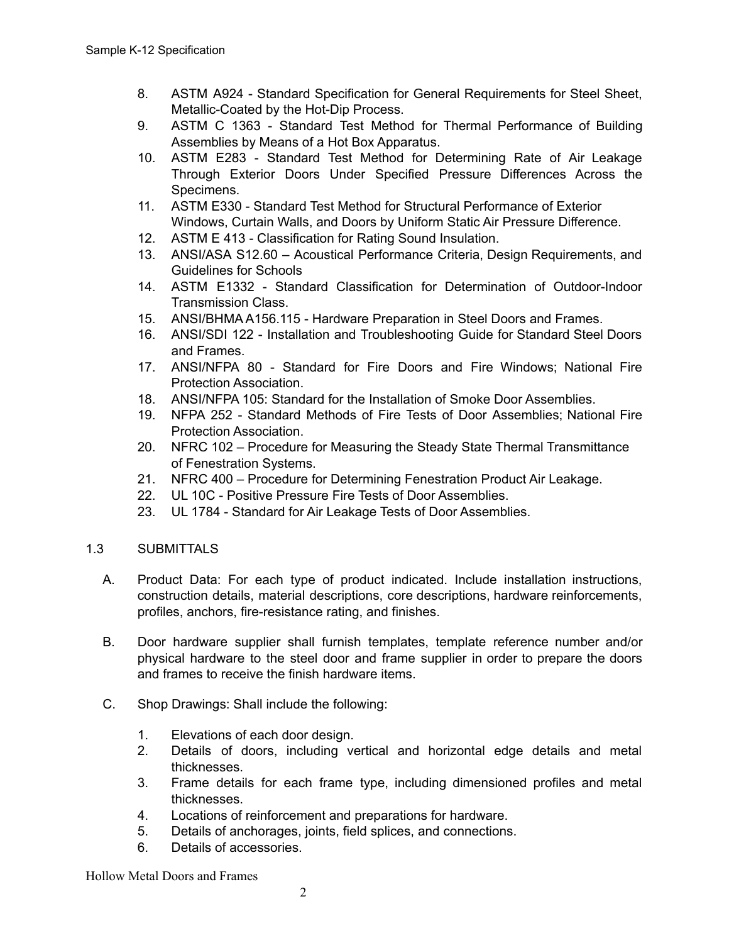- 8. ASTM A924 Standard Specification for General Requirements for Steel Sheet, Metallic-Coated by the Hot-Dip Process.
- 9. ASTM C 1363 Standard Test Method for Thermal Performance of Building Assemblies by Means of a Hot Box Apparatus.
- 10. ASTM E283 Standard Test Method for Determining Rate of Air Leakage Through Exterior Doors Under Specified Pressure Differences Across the Specimens.
- 11. ASTM E330 Standard Test Method for Structural Performance of Exterior Windows, Curtain Walls, and Doors by Uniform Static Air Pressure Difference.
- 12. ASTM E 413 Classification for Rating Sound Insulation.
- 13. ANSI/ASA S12.60 Acoustical Performance Criteria, Design Requirements, and Guidelines for Schools
- 14. ASTM E1332 Standard Classification for Determination of Outdoor-Indoor Transmission Class.
- 15. ANSI/BHMA A156.115 Hardware Preparation in Steel Doors and Frames.
- 16. ANSI/SDI 122 Installation and Troubleshooting Guide for Standard Steel Doors and Frames.
- 17. ANSI/NFPA 80 Standard for Fire Doors and Fire Windows; National Fire Protection Association.
- 18. ANSI/NFPA 105: Standard for the Installation of Smoke Door Assemblies.
- 19. NFPA 252 Standard Methods of Fire Tests of Door Assemblies; National Fire Protection Association.
- 20. NFRC 102 Procedure for Measuring the Steady State Thermal Transmittance of Fenestration Systems.
- 21. NFRC 400 Procedure for Determining Fenestration Product Air Leakage.
- 22. UL 10C Positive Pressure Fire Tests of Door Assemblies.
- 23. UL 1784 Standard for Air Leakage Tests of Door Assemblies.

# 1.3 SUBMITTALS

- A. Product Data: For each type of product indicated. Include installation instructions, construction details, material descriptions, core descriptions, hardware reinforcements, profiles, anchors, fire-resistance rating, and finishes.
- B. Door hardware supplier shall furnish templates, template reference number and/or physical hardware to the steel door and frame supplier in order to prepare the doors and frames to receive the finish hardware items.
- C. Shop Drawings: Shall include the following:
	- 1. Elevations of each door design.
	- 2. Details of doors, including vertical and horizontal edge details and metal thicknesses.
	- 3. Frame details for each frame type, including dimensioned profiles and metal thicknesses.
	- 4. Locations of reinforcement and preparations for hardware.
	- 5. Details of anchorages, joints, field splices, and connections.
	- 6. Details of accessories.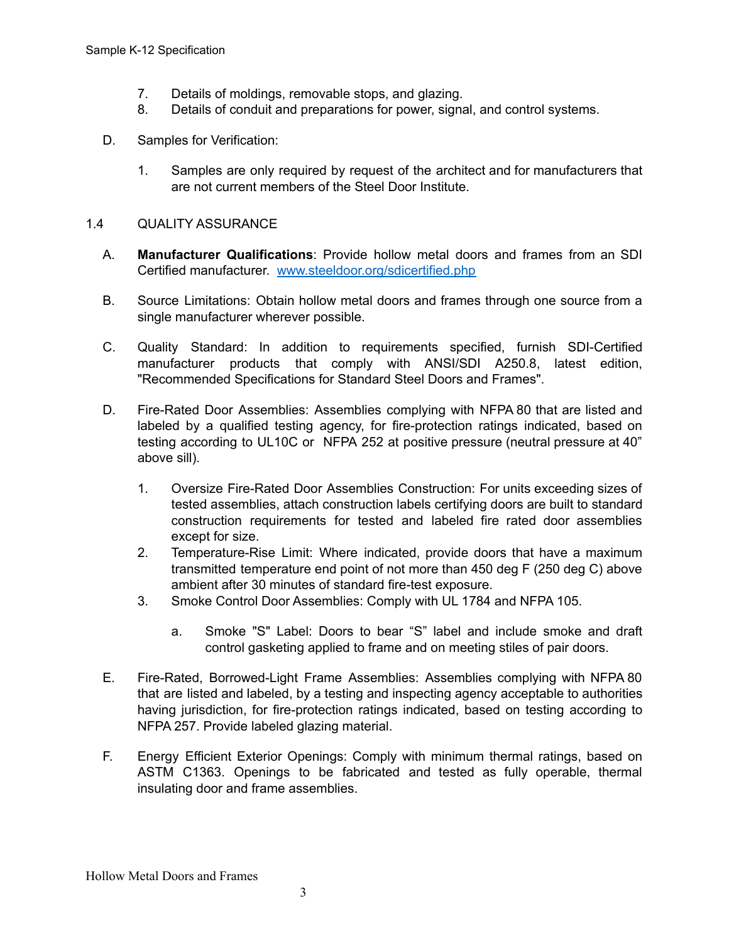- 7. Details of moldings, removable stops, and glazing.
- 8. Details of conduit and preparations for power, signal, and control systems.
- D. Samples for Verification:
	- 1. Samples are only required by request of the architect and for manufacturers that are not current members of the Steel Door Institute.

# 1.4 QUALITY ASSURANCE

- A. **Manufacturer Qualifications**: Provide hollow metal doors and frames from an SDI Certified manufacturer. [www.steeldoor.org/sdicertified.php](http://www.steeldoor.org/sdicertified.php)
- B. Source Limitations: Obtain hollow metal doors and frames through one source from a single manufacturer wherever possible.
- C. Quality Standard: In addition to requirements specified, furnish SDI-Certified manufacturer products that comply with ANSI/SDI A250.8, latest edition, "Recommended Specifications for Standard Steel Doors and Frames".
- D. Fire-Rated Door Assemblies: Assemblies complying with NFPA 80 that are listed and labeled by a qualified testing agency, for fire-protection ratings indicated, based on testing according to UL10C or NFPA 252 at positive pressure (neutral pressure at 40" above sill).
	- 1. Oversize Fire-Rated Door Assemblies Construction: For units exceeding sizes of tested assemblies, attach construction labels certifying doors are built to standard construction requirements for tested and labeled fire rated door assemblies except for size.
	- 2. Temperature-Rise Limit: Where indicated, provide doors that have a maximum transmitted temperature end point of not more than 450 deg F (250 deg C) above ambient after 30 minutes of standard fire-test exposure.
	- 3. Smoke Control Door Assemblies: Comply with UL 1784 and NFPA 105.
		- a. Smoke "S" Label: Doors to bear "S" label and include smoke and draft control gasketing applied to frame and on meeting stiles of pair doors.
- E. Fire-Rated, Borrowed-Light Frame Assemblies: Assemblies complying with NFPA 80 that are listed and labeled, by a testing and inspecting agency acceptable to authorities having jurisdiction, for fire-protection ratings indicated, based on testing according to NFPA 257. Provide labeled glazing material.
- F. Energy Efficient Exterior Openings: Comply with minimum thermal ratings, based on ASTM C1363. Openings to be fabricated and tested as fully operable, thermal insulating door and frame assemblies.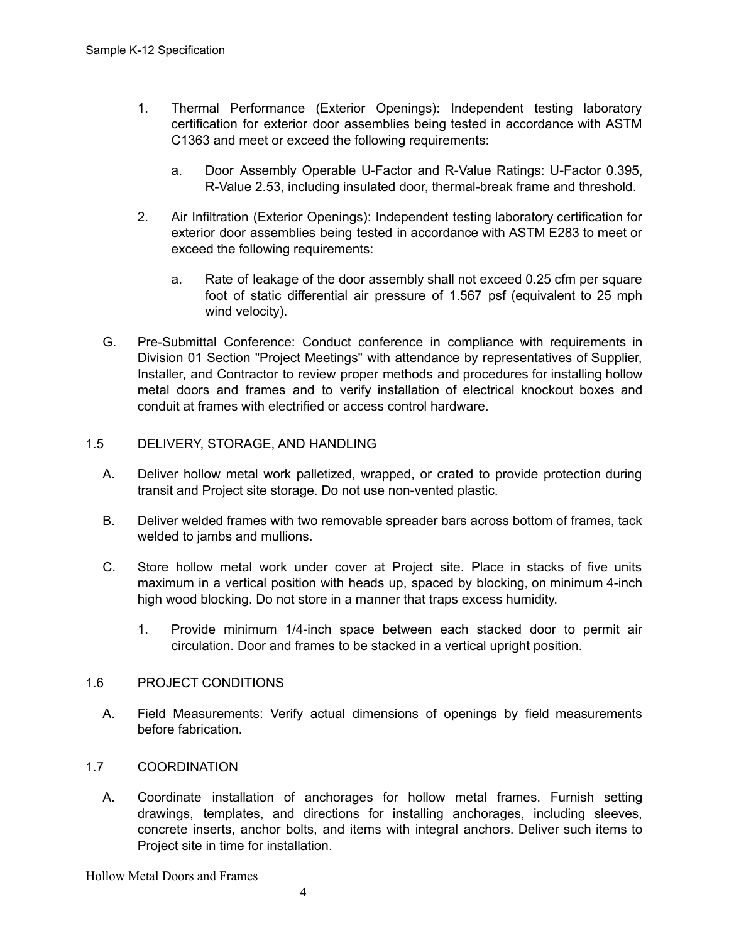- 1. Thermal Performance (Exterior Openings): Independent testing laboratory certification for exterior door assemblies being tested in accordance with ASTM C1363 and meet or exceed the following requirements:
	- a. Door Assembly Operable U-Factor and R-Value Ratings: U-Factor 0.395, R-Value 2.53, including insulated door, thermal-break frame and threshold.
- 2. Air Infiltration (Exterior Openings): Independent testing laboratory certification for exterior door assemblies being tested in accordance with ASTM E283 to meet or exceed the following requirements:
	- a. Rate of leakage of the door assembly shall not exceed 0.25 cfm per square foot of static differential air pressure of 1.567 psf (equivalent to 25 mph wind velocity).
- G. Pre-Submittal Conference: Conduct conference in compliance with requirements in Division 01 Section "Project Meetings" with attendance by representatives of Supplier, Installer, and Contractor to review proper methods and procedures for installing hollow metal doors and frames and to verify installation of electrical knockout boxes and conduit at frames with electrified or access control hardware.

#### 1.5 DELIVERY, STORAGE, AND HANDLING

- A. Deliver hollow metal work palletized, wrapped, or crated to provide protection during transit and Project site storage. Do not use non-vented plastic.
- B. Deliver welded frames with two removable spreader bars across bottom of frames, tack welded to jambs and mullions.
- C. Store hollow metal work under cover at Project site. Place in stacks of five units maximum in a vertical position with heads up, spaced by blocking, on minimum 4-inch high wood blocking. Do not store in a manner that traps excess humidity.
	- 1. Provide minimum 1/4-inch space between each stacked door to permit air circulation. Door and frames to be stacked in a vertical upright position.

#### 1.6 PROJECT CONDITIONS

A. Field Measurements: Verify actual dimensions of openings by field measurements before fabrication.

# 1.7 COORDINATION

A. Coordinate installation of anchorages for hollow metal frames. Furnish setting drawings, templates, and directions for installing anchorages, including sleeves, concrete inserts, anchor bolts, and items with integral anchors. Deliver such items to Project site in time for installation.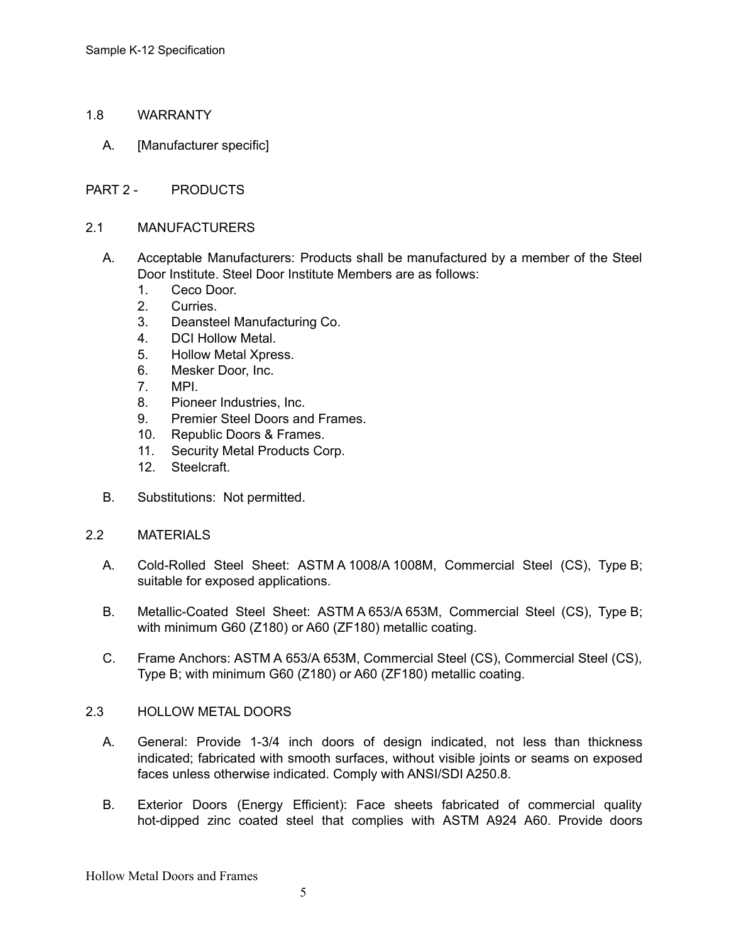- 1.8 WARRANTY
	- A. [Manufacturer specific]
- PART 2 PRODUCTS
- 2.1 MANUFACTURERS
	- A. Acceptable Manufacturers: Products shall be manufactured by a member of the Steel Door Institute. Steel Door Institute Members are as follows:
		- 1. Ceco Door.
		- 2. Curries.
		- 3. Deansteel Manufacturing Co.
		- 4. DCI Hollow Metal.
		- 5. Hollow Metal Xpress.
		- 6. Mesker Door, Inc.
		- 7. MPI.
		- 8. Pioneer Industries, Inc.
		- 9. Premier Steel Doors and Frames.
		- 10. Republic Doors & Frames.
		- 11. Security Metal Products Corp.
		- 12. Steelcraft.
	- B. Substitutions: Not permitted.
- 2.2 MATERIALS
	- A. Cold-Rolled Steel Sheet: ASTM A 1008/A 1008M, Commercial Steel (CS), Type B; suitable for exposed applications.
	- B. Metallic-Coated Steel Sheet: ASTM A 653/A 653M, Commercial Steel (CS), Type B; with minimum G60 (Z180) or A60 (ZF180) metallic coating.
	- C. Frame Anchors: ASTM A 653/A 653M, Commercial Steel (CS), Commercial Steel (CS), Type B; with minimum G60 (Z180) or A60 (ZF180) metallic coating.

#### 2.3 HOLLOW METAL DOORS

- A. General: Provide 1-3/4 inch doors of design indicated, not less than thickness indicated; fabricated with smooth surfaces, without visible joints or seams on exposed faces unless otherwise indicated. Comply with ANSI/SDI A250.8.
- B. Exterior Doors (Energy Efficient): Face sheets fabricated of commercial quality hot-dipped zinc coated steel that complies with ASTM A924 A60. Provide doors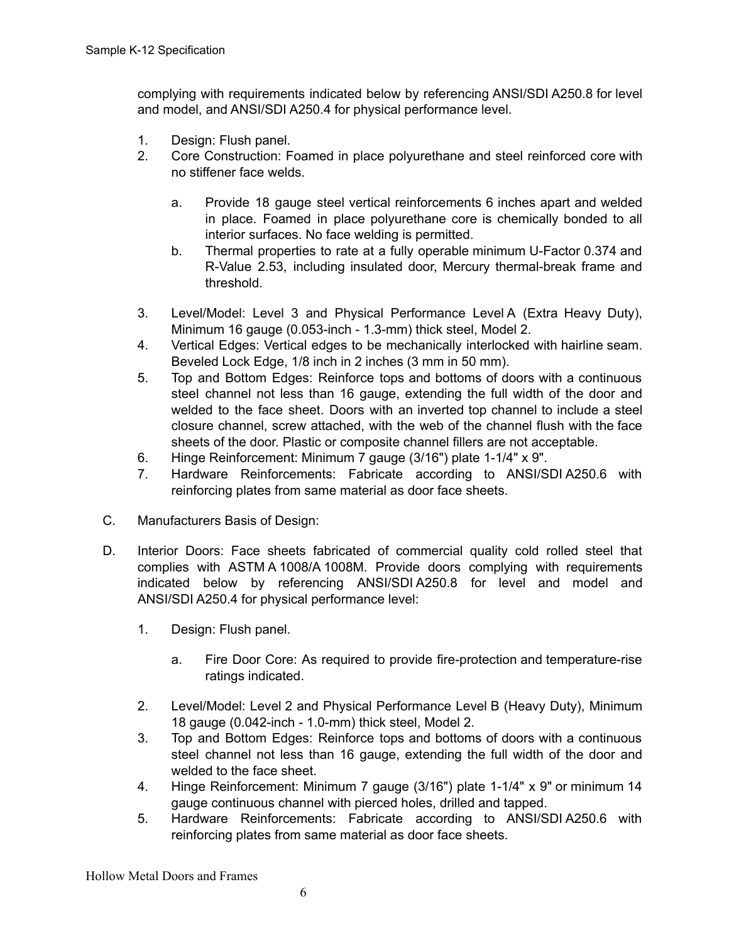complying with requirements indicated below by referencing ANSI/SDI A250.8 for level and model, and ANSI/SDI A250.4 for physical performance level.

- 1. Design: Flush panel.
- 2. Core Construction: Foamed in place polyurethane and steel reinforced core with no stiffener face welds.
	- a. Provide 18 gauge steel vertical reinforcements 6 inches apart and welded in place. Foamed in place polyurethane core is chemically bonded to all interior surfaces. No face welding is permitted.
	- b. Thermal properties to rate at a fully operable minimum U-Factor 0.374 and R-Value 2.53, including insulated door, Mercury thermal-break frame and threshold.
- 3. Level/Model: Level 3 and Physical Performance Level A (Extra Heavy Duty), Minimum 16 gauge (0.053-inch - 1.3-mm) thick steel, Model 2.
- 4. Vertical Edges: Vertical edges to be mechanically interlocked with hairline seam. Beveled Lock Edge, 1/8 inch in 2 inches (3 mm in 50 mm).
- 5. Top and Bottom Edges: Reinforce tops and bottoms of doors with a continuous steel channel not less than 16 gauge, extending the full width of the door and welded to the face sheet. Doors with an inverted top channel to include a steel closure channel, screw attached, with the web of the channel flush with the face sheets of the door. Plastic or composite channel fillers are not acceptable.
- 6. Hinge Reinforcement: Minimum 7 gauge (3/16") plate 1-1/4" x 9".
- 7. Hardware Reinforcements: Fabricate according to ANSI/SDI A250.6 with reinforcing plates from same material as door face sheets.
- C. Manufacturers Basis of Design:
- D. Interior Doors: Face sheets fabricated of commercial quality cold rolled steel that complies with ASTM A 1008/A 1008M. Provide doors complying with requirements indicated below by referencing ANSI/SDI A250.8 for level and model and ANSI/SDI A250.4 for physical performance level:
	- 1. Design: Flush panel.
		- a. Fire Door Core: As required to provide fire-protection and temperature-rise ratings indicated.
	- 2. Level/Model: Level 2 and Physical Performance Level B (Heavy Duty), Minimum 18 gauge (0.042-inch - 1.0-mm) thick steel, Model 2.
	- 3. Top and Bottom Edges: Reinforce tops and bottoms of doors with a continuous steel channel not less than 16 gauge, extending the full width of the door and welded to the face sheet.
	- 4. Hinge Reinforcement: Minimum 7 gauge (3/16") plate 1-1/4" x 9" or minimum 14 gauge continuous channel with pierced holes, drilled and tapped.
	- 5. Hardware Reinforcements: Fabricate according to ANSI/SDI A250.6 with reinforcing plates from same material as door face sheets.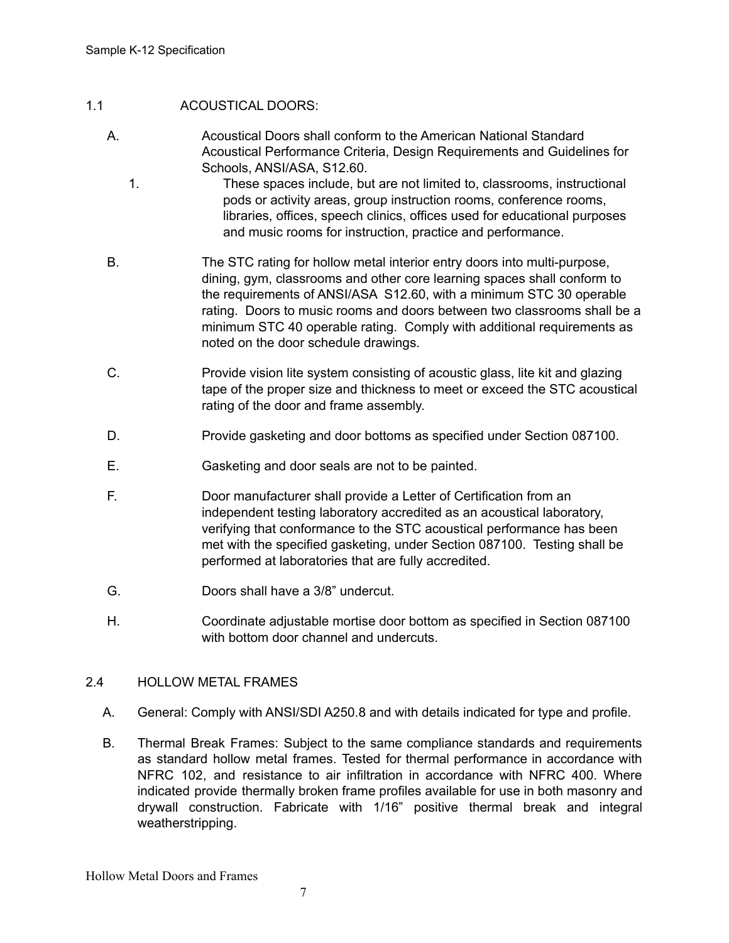# 1.1 ACOUSTICAL DOORS:

- A. Acoustical Doors shall conform to the American National Standard Acoustical Performance Criteria, Design Requirements and Guidelines for Schools, ANSI/ASA, S12.60.
	- 1. These spaces include, but are not limited to, classrooms, instructional pods or activity areas, group instruction rooms, conference rooms, libraries, offices, speech clinics, offices used for educational purposes and music rooms for instruction, practice and performance.
- B. The STC rating for hollow metal interior entry doors into multi-purpose, dining, gym, classrooms and other core learning spaces shall conform to the requirements of ANSI/ASA S12.60, with a minimum STC 30 operable rating. Doors to music rooms and doors between two classrooms shall be a minimum STC 40 operable rating. Comply with additional requirements as noted on the door schedule drawings.
- C. Provide vision lite system consisting of acoustic glass, lite kit and glazing tape of the proper size and thickness to meet or exceed the STC acoustical rating of the door and frame assembly.
- D. Provide gasketing and door bottoms as specified under Section 087100.
- E. Gasketing and door seals are not to be painted.
- F. Door manufacturer shall provide a Letter of Certification from an independent testing laboratory accredited as an acoustical laboratory, verifying that conformance to the STC acoustical performance has been met with the specified gasketing, under Section 087100. Testing shall be performed at laboratories that are fully accredited.
- G. Doors shall have a 3/8" undercut.
- H. Coordinate adjustable mortise door bottom as specified in Section 087100 with bottom door channel and undercuts.

#### 2.4 HOLLOW METAL FRAMES

- A. General: Comply with ANSI/SDI A250.8 and with details indicated for type and profile.
- B. Thermal Break Frames: Subject to the same compliance standards and requirements as standard hollow metal frames. Tested for thermal performance in accordance with NFRC 102, and resistance to air infiltration in accordance with NFRC 400. Where indicated provide thermally broken frame profiles available for use in both masonry and drywall construction. Fabricate with 1/16" positive thermal break and integral weatherstripping.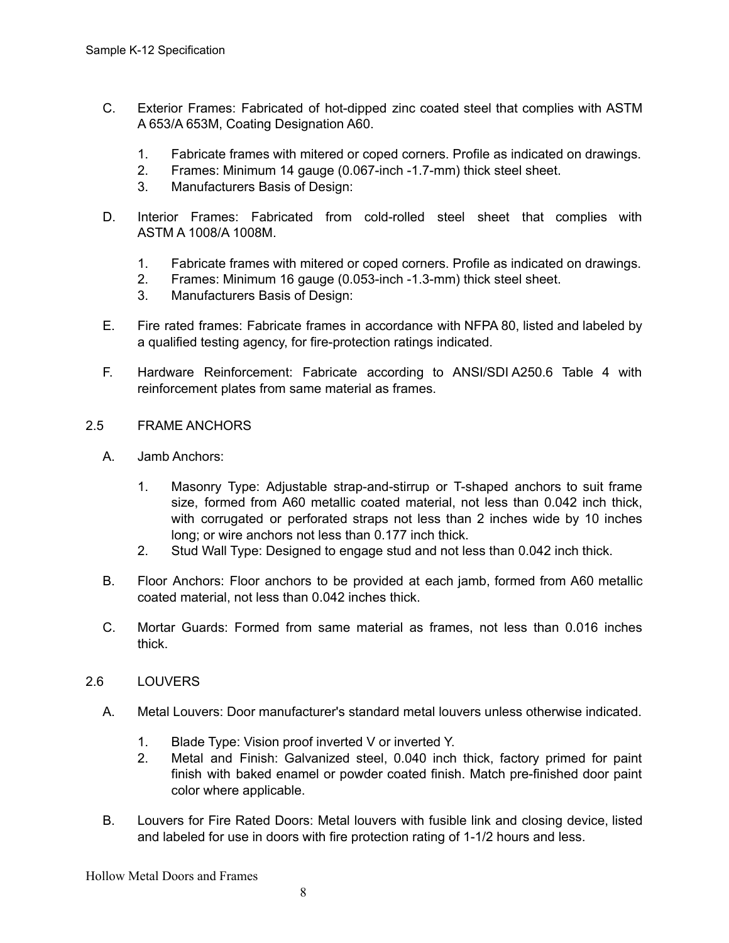- C. Exterior Frames: Fabricated of hot-dipped zinc coated steel that complies with ASTM A 653/A 653M, Coating Designation A60.
	- 1. Fabricate frames with mitered or coped corners. Profile as indicated on drawings.
	- 2. Frames: Minimum 14 gauge (0.067-inch -1.7-mm) thick steel sheet.
	- 3. Manufacturers Basis of Design:
- D. Interior Frames: Fabricated from cold-rolled steel sheet that complies with ASTM A 1008/A 1008M.
	- 1. Fabricate frames with mitered or coped corners. Profile as indicated on drawings.
	- 2. Frames: Minimum 16 gauge (0.053-inch -1.3-mm) thick steel sheet.
	- 3. Manufacturers Basis of Design:
- E. Fire rated frames: Fabricate frames in accordance with NFPA 80, listed and labeled by a qualified testing agency, for fire-protection ratings indicated.
- F. Hardware Reinforcement: Fabricate according to ANSI/SDI A250.6 Table 4 with reinforcement plates from same material as frames.
- 2.5 FRAME ANCHORS
	- A. Jamb Anchors:
		- 1. Masonry Type: Adjustable strap-and-stirrup or T-shaped anchors to suit frame size, formed from A60 metallic coated material, not less than 0.042 inch thick, with corrugated or perforated straps not less than 2 inches wide by 10 inches long; or wire anchors not less than 0.177 inch thick.
		- 2. Stud Wall Type: Designed to engage stud and not less than 0.042 inch thick.
	- B. Floor Anchors: Floor anchors to be provided at each jamb, formed from A60 metallic coated material, not less than 0.042 inches thick.
	- C. Mortar Guards: Formed from same material as frames, not less than 0.016 inches thick.
- 2.6 LOUVERS
	- A. Metal Louvers: Door manufacturer's standard metal louvers unless otherwise indicated.
		- 1. Blade Type: Vision proof inverted V or inverted Y.
		- 2. Metal and Finish: Galvanized steel, 0.040 inch thick, factory primed for paint finish with baked enamel or powder coated finish. Match pre-finished door paint color where applicable.
	- B. Louvers for Fire Rated Doors: Metal louvers with fusible link and closing device, listed and labeled for use in doors with fire protection rating of 1-1/2 hours and less.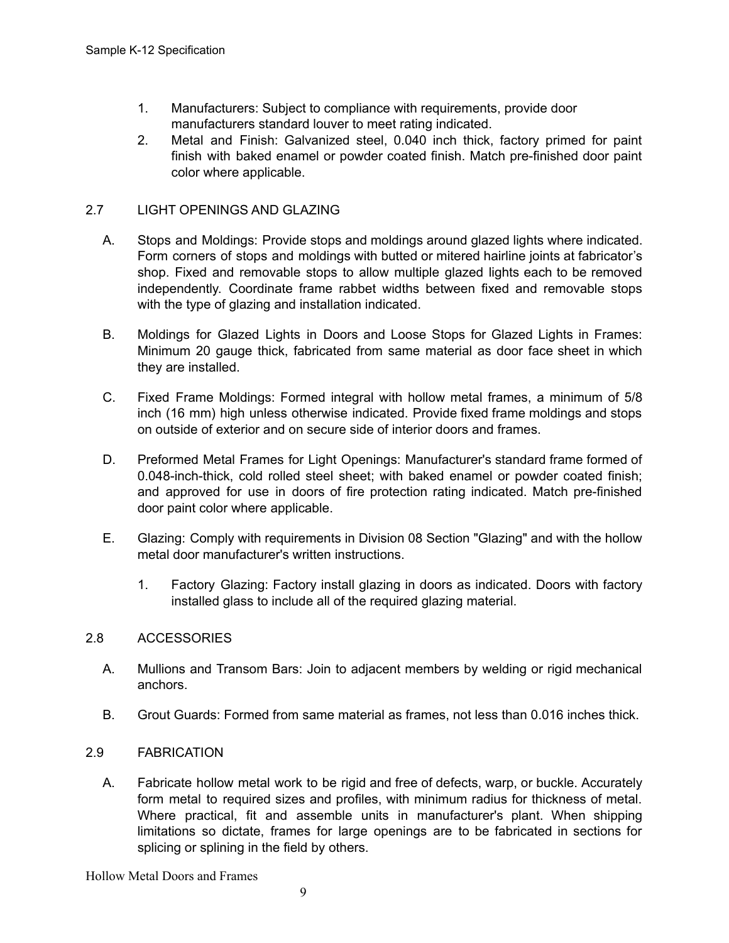- 1. Manufacturers: Subject to compliance with requirements, provide door manufacturers standard louver to meet rating indicated.
- 2. Metal and Finish: Galvanized steel, 0.040 inch thick, factory primed for paint finish with baked enamel or powder coated finish. Match pre-finished door paint color where applicable.

# 2.7 LIGHT OPENINGS AND GLAZING

- A. Stops and Moldings: Provide stops and moldings around glazed lights where indicated. Form corners of stops and moldings with butted or mitered hairline joints at fabricator's shop. Fixed and removable stops to allow multiple glazed lights each to be removed independently. Coordinate frame rabbet widths between fixed and removable stops with the type of glazing and installation indicated.
- B. Moldings for Glazed Lights in Doors and Loose Stops for Glazed Lights in Frames: Minimum 20 gauge thick, fabricated from same material as door face sheet in which they are installed.
- C. Fixed Frame Moldings: Formed integral with hollow metal frames, a minimum of 5/8 inch (16 mm) high unless otherwise indicated. Provide fixed frame moldings and stops on outside of exterior and on secure side of interior doors and frames.
- D. Preformed Metal Frames for Light Openings: Manufacturer's standard frame formed of 0.048-inch-thick, cold rolled steel sheet; with baked enamel or powder coated finish; and approved for use in doors of fire protection rating indicated. Match pre-finished door paint color where applicable.
- E. Glazing: Comply with requirements in Division 08 Section "Glazing" and with the hollow metal door manufacturer's written instructions.
	- 1. Factory Glazing: Factory install glazing in doors as indicated. Doors with factory installed glass to include all of the required glazing material.

# 2.8 ACCESSORIES

- A. Mullions and Transom Bars: Join to adjacent members by welding or rigid mechanical anchors.
- B. Grout Guards: Formed from same material as frames, not less than 0.016 inches thick.

# 2.9 FABRICATION

A. Fabricate hollow metal work to be rigid and free of defects, warp, or buckle. Accurately form metal to required sizes and profiles, with minimum radius for thickness of metal. Where practical, fit and assemble units in manufacturer's plant. When shipping limitations so dictate, frames for large openings are to be fabricated in sections for splicing or splining in the field by others.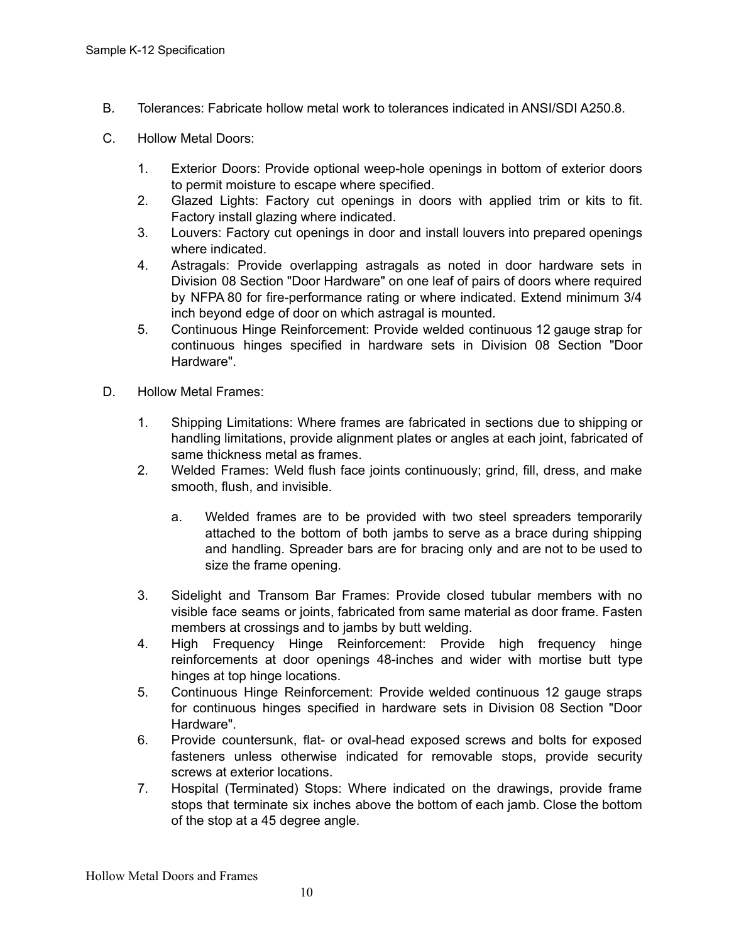- B. Tolerances: Fabricate hollow metal work to tolerances indicated in ANSI/SDI A250.8.
- C. Hollow Metal Doors:
	- 1. Exterior Doors: Provide optional weep-hole openings in bottom of exterior doors to permit moisture to escape where specified.
	- 2. Glazed Lights: Factory cut openings in doors with applied trim or kits to fit. Factory install glazing where indicated.
	- 3. Louvers: Factory cut openings in door and install louvers into prepared openings where indicated.
	- 4. Astragals: Provide overlapping astragals as noted in door hardware sets in Division 08 Section "Door Hardware" on one leaf of pairs of doors where required by NFPA 80 for fire-performance rating or where indicated. Extend minimum 3/4 inch beyond edge of door on which astragal is mounted.
	- 5. Continuous Hinge Reinforcement: Provide welded continuous 12 gauge strap for continuous hinges specified in hardware sets in Division 08 Section "Door Hardware".
- D. Hollow Metal Frames:
	- 1. Shipping Limitations: Where frames are fabricated in sections due to shipping or handling limitations, provide alignment plates or angles at each joint, fabricated of same thickness metal as frames.
	- 2. Welded Frames: Weld flush face joints continuously; grind, fill, dress, and make smooth, flush, and invisible.
		- a. Welded frames are to be provided with two steel spreaders temporarily attached to the bottom of both jambs to serve as a brace during shipping and handling. Spreader bars are for bracing only and are not to be used to size the frame opening.
	- 3. Sidelight and Transom Bar Frames: Provide closed tubular members with no visible face seams or joints, fabricated from same material as door frame. Fasten members at crossings and to jambs by butt welding.
	- 4. High Frequency Hinge Reinforcement: Provide high frequency hinge reinforcements at door openings 48-inches and wider with mortise butt type hinges at top hinge locations.
	- 5. Continuous Hinge Reinforcement: Provide welded continuous 12 gauge straps for continuous hinges specified in hardware sets in Division 08 Section "Door Hardware".
	- 6. Provide countersunk, flat- or oval-head exposed screws and bolts for exposed fasteners unless otherwise indicated for removable stops, provide security screws at exterior locations.
	- 7. Hospital (Terminated) Stops: Where indicated on the drawings, provide frame stops that terminate six inches above the bottom of each jamb. Close the bottom of the stop at a 45 degree angle.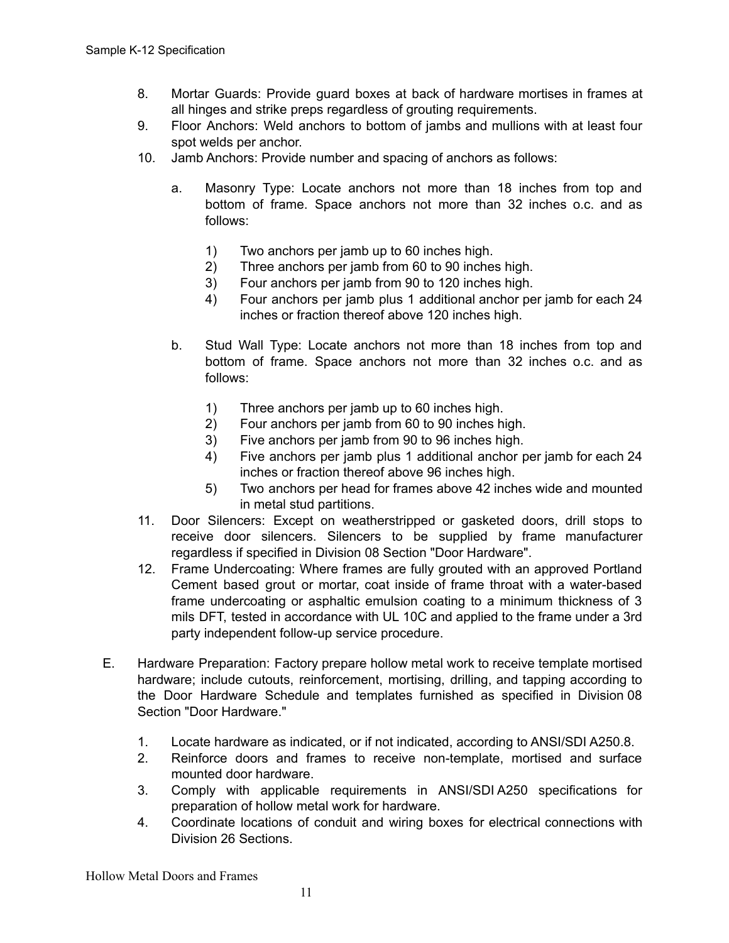- 8. Mortar Guards: Provide guard boxes at back of hardware mortises in frames at all hinges and strike preps regardless of grouting requirements.
- 9. Floor Anchors: Weld anchors to bottom of jambs and mullions with at least four spot welds per anchor.
- 10. Jamb Anchors: Provide number and spacing of anchors as follows:
	- a. Masonry Type: Locate anchors not more than 18 inches from top and bottom of frame. Space anchors not more than 32 inches o.c. and as follows:
		- 1) Two anchors per jamb up to 60 inches high.
		- 2) Three anchors per jamb from 60 to 90 inches high.
		- 3) Four anchors per jamb from 90 to 120 inches high.
		- 4) Four anchors per jamb plus 1 additional anchor per jamb for each 24 inches or fraction thereof above 120 inches high.
	- b. Stud Wall Type: Locate anchors not more than 18 inches from top and bottom of frame. Space anchors not more than 32 inches o.c. and as follows:
		- 1) Three anchors per jamb up to 60 inches high.
		- 2) Four anchors per jamb from 60 to 90 inches high.
		- 3) Five anchors per jamb from 90 to 96 inches high.
		- 4) Five anchors per jamb plus 1 additional anchor per jamb for each 24 inches or fraction thereof above 96 inches high.
		- 5) Two anchors per head for frames above 42 inches wide and mounted in metal stud partitions.
- 11. Door Silencers: Except on weatherstripped or gasketed doors, drill stops to receive door silencers. Silencers to be supplied by frame manufacturer regardless if specified in Division 08 Section "Door Hardware".
- 12. Frame Undercoating: Where frames are fully grouted with an approved Portland Cement based grout or mortar, coat inside of frame throat with a water-based frame undercoating or asphaltic emulsion coating to a minimum thickness of 3 mils DFT, tested in accordance with UL 10C and applied to the frame under a 3rd party independent follow-up service procedure.
- E. Hardware Preparation: Factory prepare hollow metal work to receive template mortised hardware; include cutouts, reinforcement, mortising, drilling, and tapping according to the Door Hardware Schedule and templates furnished as specified in Division 08 Section "Door Hardware."
	- 1. Locate hardware as indicated, or if not indicated, according to ANSI/SDI A250.8.
	- 2. Reinforce doors and frames to receive non-template, mortised and surface mounted door hardware.
	- 3. Comply with applicable requirements in ANSI/SDI A250 specifications for preparation of hollow metal work for hardware.
	- 4. Coordinate locations of conduit and wiring boxes for electrical connections with Division 26 Sections.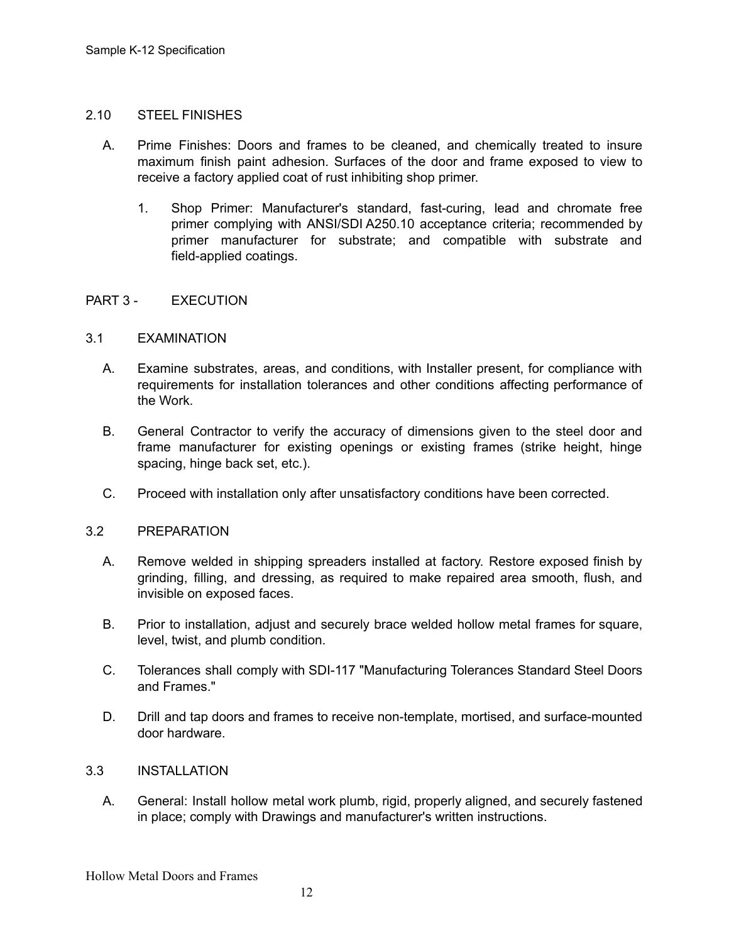#### 2.10 STEEL FINISHES

- A. Prime Finishes: Doors and frames to be cleaned, and chemically treated to insure maximum finish paint adhesion. Surfaces of the door and frame exposed to view to receive a factory applied coat of rust inhibiting shop primer.
	- 1. Shop Primer: Manufacturer's standard, fast-curing, lead and chromate free primer complying with ANSI/SDI A250.10 acceptance criteria; recommended by primer manufacturer for substrate; and compatible with substrate and field-applied coatings.

# PART 3 - EXECUTION

# 3.1 EXAMINATION

- A. Examine substrates, areas, and conditions, with Installer present, for compliance with requirements for installation tolerances and other conditions affecting performance of the Work.
- B. General Contractor to verify the accuracy of dimensions given to the steel door and frame manufacturer for existing openings or existing frames (strike height, hinge spacing, hinge back set, etc.).
- C. Proceed with installation only after unsatisfactory conditions have been corrected.

# 3.2 PREPARATION

- A. Remove welded in shipping spreaders installed at factory. Restore exposed finish by grinding, filling, and dressing, as required to make repaired area smooth, flush, and invisible on exposed faces.
- B. Prior to installation, adjust and securely brace welded hollow metal frames for square, level, twist, and plumb condition.
- C. Tolerances shall comply with SDI-117 "Manufacturing Tolerances Standard Steel Doors and Frames."
- D. Drill and tap doors and frames to receive non-template, mortised, and surface-mounted door hardware.

# 3.3 INSTALLATION

A. General: Install hollow metal work plumb, rigid, properly aligned, and securely fastened in place; comply with Drawings and manufacturer's written instructions.